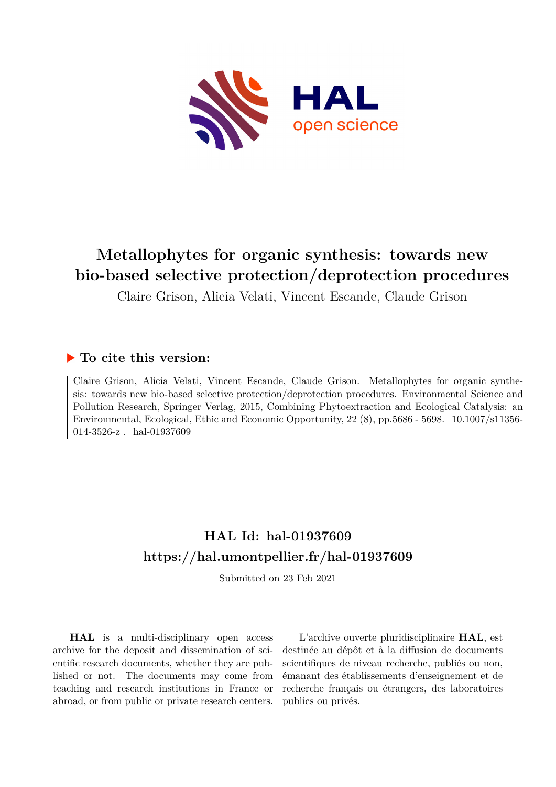

# **Metallophytes for organic synthesis: towards new bio-based selective protection/deprotection procedures**

Claire Grison, Alicia Velati, Vincent Escande, Claude Grison

# **To cite this version:**

Claire Grison, Alicia Velati, Vincent Escande, Claude Grison. Metallophytes for organic synthesis: towards new bio-based selective protection/deprotection procedures. Environmental Science and Pollution Research, Springer Verlag, 2015, Combining Phytoextraction and Ecological Catalysis: an Environmental, Ecological, Ethic and Economic Opportunity, 22 (8), pp.5686 - 5698. 10.1007/s11356-014-3526-z. hal-01937609

# **HAL Id: hal-01937609 <https://hal.umontpellier.fr/hal-01937609>**

Submitted on 23 Feb 2021

**HAL** is a multi-disciplinary open access archive for the deposit and dissemination of scientific research documents, whether they are published or not. The documents may come from teaching and research institutions in France or abroad, or from public or private research centers.

L'archive ouverte pluridisciplinaire **HAL**, est destinée au dépôt et à la diffusion de documents scientifiques de niveau recherche, publiés ou non, émanant des établissements d'enseignement et de recherche français ou étrangers, des laboratoires publics ou privés.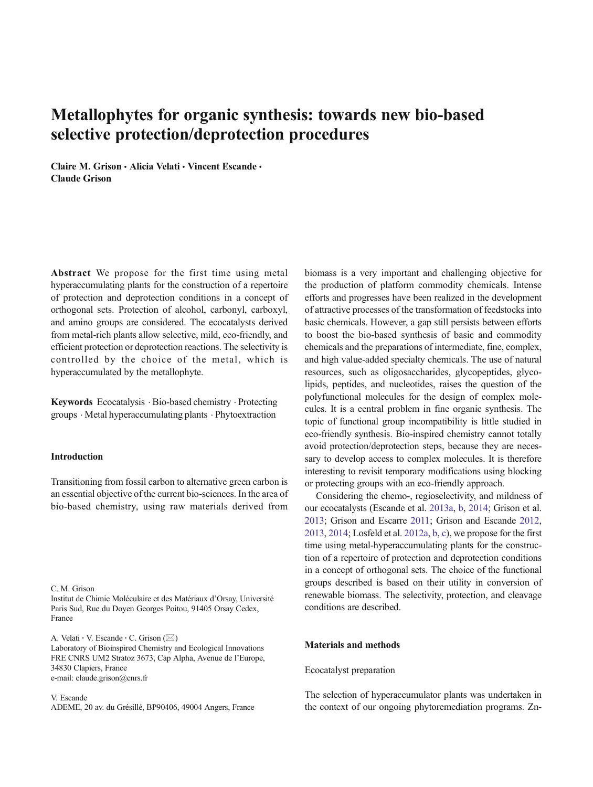# Metallophytes for organic synthesis: towards new bio-based selective protection/deprotection procedures

Claire M. Grison & Alicia Velati & Vincent Escande & Claude Grison

Abstract We propose for the first time using metal hyperaccumulating plants for the construction of a repertoire of protection and deprotection conditions in a concept of orthogonal sets. Protection of alcohol, carbonyl, carboxyl, and amino groups are considered. The ecocatalysts derived from metal-rich plants allow selective, mild, eco-friendly, and efficient protection or deprotection reactions. The selectivity is controlled by the choice of the metal, which is hyperaccumulated by the metallophyte.

Keywords Ecocatalysis . Bio-based chemistry . Protecting groups . Metal hyperaccumulating plants . Phytoextraction

# Introduction

Transitioning from fossil carbon to alternative green carbon is an essential objective of the current bio-sciences. In the area of bio-based chemistry, using raw materials derived from

C. M. Grison

Institut de Chimie Moléculaire et des Matériaux d'Orsay, Université Paris Sud, Rue du Doyen Georges Poitou, 91405 Orsay Cedex, France

A. Velati  $\cdot$  V. Escande  $\cdot$  C. Grison ( $\boxtimes$ ) Laboratory of Bioinspired Chemistry and Ecological Innovations FRE CNRS UM2 Stratoz 3673, Cap Alpha, Avenue de l'Europe, 34830 Clapiers, France e-mail: claude.grison@cnrs.fr

V. Escande ADEME, 20 av. du Grésillé, BP90406, 49004 Angers, France biomass is a very important and challenging objective for the production of platform commodity chemicals. Intense efforts and progresses have been realized in the development of attractive processes of the transformation of feedstocks into basic chemicals. However, a gap still persists between efforts to boost the bio-based synthesis of basic and commodity chemicals and the preparations of intermediate, fine, complex, and high value-added specialty chemicals. The use of natural resources, such as oligosaccharides, glycopeptides, glycolipids, peptides, and nucleotides, raises the question of the polyfunctional molecules for the design of complex molecules. It is a central problem in fine organic synthesis. The topic of functional group incompatibility is little studied in eco-friendly synthesis. Bio-inspired chemistry cannot totally avoid protection/deprotection steps, because they are necessary to develop access to complex molecules. It is therefore interesting to revisit temporary modifications using blocking or protecting groups with an eco-friendly approach.

Considering the chemo-, regioselectivity, and mildness of our ecocatalysts (Escande et al. 2013a, b, 2014; Grison et al. 2013; Grison and Escarre 2011; Grison and Escande 2012, 2013, 2014; Losfeld et al. 2012a, b, c), we propose for the first time using metal-hyperaccumulating plants for the construction of a repertoire of protection and deprotection conditions in a concept of orthogonal sets. The choice of the functional groups described is based on their utility in conversion of renewable biomass. The selectivity, protection, and cleavage conditions are described.

# Materials and methods

#### Ecocatalyst preparation

The selection of hyperaccumulator plants was undertaken in the context of our ongoing phytoremediation programs. Zn-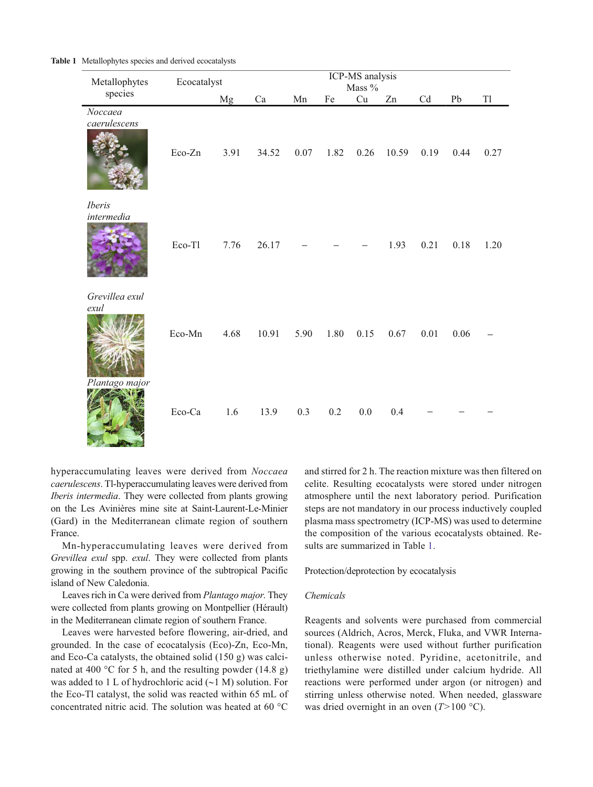| Metallophytes               | Ecocatalyst |             | ICP-MS analysis<br>Mass $\%$ |          |      |      |       |      |            |          |
|-----------------------------|-------------|-------------|------------------------------|----------|------|------|-------|------|------------|----------|
| species                     |             | $_{\rm Mg}$ | Ca                           | Mn       | Fe   | Cu   | Zn    | Cd   | ${\rm Pb}$ | $\rm T1$ |
| Noccaea<br>caerulescens     | Eco-Zn      | 3.91        | 34.52                        | $0.07\,$ | 1.82 | 0.26 | 10.59 | 0.19 | 0.44       | 0.27     |
| <b>Iberis</b><br>intermedia | Eco-Tl      | 7.76        | 26.17                        |          |      |      | 1.93  | 0.21 | 0.18       | 1.20     |
| Grevillea exul<br>exul      | Eco-Mn      | 4.68        | 10.91                        | 5.90     | 1.80 | 0.15 | 0.67  | 0.01 | 0.06       |          |
| Plantago major              | Eco-Ca      | 1.6         | 13.9                         | 0.3      | 0.2  | 0.0  | 0.4   |      |            |          |

Table 1 Metallophytes species and derived ecocatalysts

hyperaccumulating leaves were derived from Noccaea caerulescens. Tl-hyperaccumulating leaves were derived from Iberis intermedia. They were collected from plants growing on the Les Avinières mine site at Saint-Laurent-Le-Minier (Gard) in the Mediterranean climate region of southern France.

Mn-hyperaccumulating leaves were derived from Grevillea exul spp. exul. They were collected from plants growing in the southern province of the subtropical Pacific island of New Caledonia.

Leaves rich in Ca were derived from Plantago major. They were collected from plants growing on Montpellier (Hérault) in the Mediterranean climate region of southern France.

Leaves were harvested before flowering, air-dried, and grounded. In the case of ecocatalysis (Eco)-Zn, Eco-Mn, and Eco-Ca catalysts, the obtained solid (150 g) was calcinated at 400 °C for 5 h, and the resulting powder (14.8 g) was added to 1 L of hydrochloric acid (∼1 M) solution. For the Eco-Tl catalyst, the solid was reacted within 65 mL of concentrated nitric acid. The solution was heated at 60 °C

and stirred for 2 h. The reaction mixture was then filtered on celite. Resulting ecocatalysts were stored under nitrogen atmosphere until the next laboratory period. Purification steps are not mandatory in our process inductively coupled plasma mass spectrometry (ICP-MS) was used to determine the composition of the various ecocatalysts obtained. Results are summarized in Table 1.

Protection/deprotection by ecocatalysis

# Chemicals

Reagents and solvents were purchased from commercial sources (Aldrich, Acros, Merck, Fluka, and VWR International). Reagents were used without further purification unless otherwise noted. Pyridine, acetonitrile, and triethylamine were distilled under calcium hydride. All reactions were performed under argon (or nitrogen) and stirring unless otherwise noted. When needed, glassware was dried overnight in an oven  $(T>100 \degree C)$ .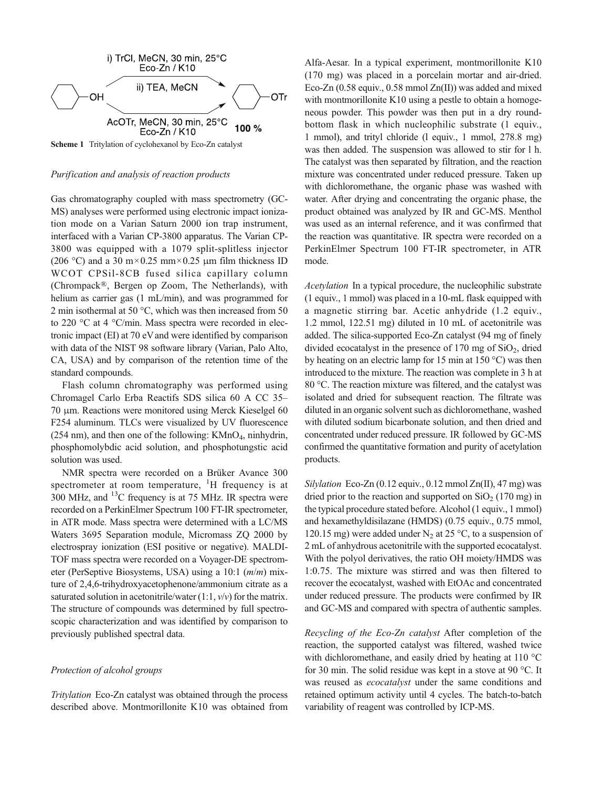

Scheme 1 Tritylation of cyclohexanol by Eco-Zn catalyst

# Purification and analysis of reaction products

Gas chromatography coupled with mass spectrometry (GC-MS) analyses were performed using electronic impact ionization mode on a Varian Saturn 2000 ion trap instrument, interfaced with a Varian CP-3800 apparatus. The Varian CP-3800 was equipped with a 1079 split-splitless injector (206 °C) and a 30 m $\times$ 0.25 mm $\times$ 0.25 µm film thickness ID WCOT CPSil-8CB fused silica capillary column (Chrompack®, Bergen op Zoom, The Netherlands), with helium as carrier gas (1 mL/min), and was programmed for 2 min isothermal at 50 °C, which was then increased from 50 to 220 °C at 4 °C/min. Mass spectra were recorded in electronic impact (EI) at 70 eVand were identified by comparison with data of the NIST 98 software library (Varian, Palo Alto, CA, USA) and by comparison of the retention time of the standard compounds.

Flash column chromatography was performed using Chromagel Carlo Erba Reactifs SDS silica 60 A CC 35– 70 μm. Reactions were monitored using Merck Kieselgel 60 F254 aluminum. TLCs were visualized by UV fluorescence  $(254 \text{ nm})$ , and then one of the following: KMnO<sub>4</sub>, ninhydrin, phosphomolybdic acid solution, and phosphotungstic acid solution was used.

NMR spectra were recorded on a Brüker Avance 300 spectrometer at room temperature,  ${}^{1}H$  frequency is at 300 MHz, and  $^{13}$ C frequency is at 75 MHz. IR spectra were recorded on a PerkinElmer Spectrum 100 FT-IR spectrometer, in ATR mode. Mass spectra were determined with a LC/MS Waters 3695 Separation module, Micromass ZQ 2000 by electrospray ionization (ESI positive or negative). MALDI-TOF mass spectra were recorded on a Voyager-DE spectrometer (PerSeptive Biosystems, USA) using a 10:1 (m/m) mixture of 2,4,6-trihydroxyacetophenone/ammonium citrate as a saturated solution in acetonitrile/water  $(1:1, v/v)$  for the matrix. The structure of compounds was determined by full spectroscopic characterization and was identified by comparison to previously published spectral data.

# Protection of alcohol groups

Tritylation Eco-Zn catalyst was obtained through the process described above. Montmorillonite K10 was obtained from Alfa-Aesar. In a typical experiment, montmorillonite K10 (170 mg) was placed in a porcelain mortar and air-dried. Eco-Zn (0.58 equiv., 0.58 mmol Zn(II)) was added and mixed with montmorillonite K10 using a pestle to obtain a homogeneous powder. This powder was then put in a dry roundbottom flask in which nucleophilic substrate (1 equiv., 1 mmol), and trityl chloride (l equiv., 1 mmol, 278.8 mg) was then added. The suspension was allowed to stir for l h. The catalyst was then separated by filtration, and the reaction mixture was concentrated under reduced pressure. Taken up with dichloromethane, the organic phase was washed with water. After drying and concentrating the organic phase, the product obtained was analyzed by IR and GC-MS. Menthol was used as an internal reference, and it was confirmed that the reaction was quantitative. IR spectra were recorded on a PerkinElmer Spectrum 100 FT-IR spectrometer, in ATR mode.

Acetylation In a typical procedure, the nucleophilic substrate (1 equiv., 1 mmol) was placed in a 10-mL flask equipped with a magnetic stirring bar. Acetic anhydride (1.2 equiv., 1.2 mmol, 122.51 mg) diluted in 10 mL of acetonitrile was added. The silica-supported Eco-Zn catalyst (94 mg of finely divided ecocatalyst in the presence of  $170 \text{ mg}$  of  $SiO<sub>2</sub>$ , dried by heating on an electric lamp for 15 min at 150 °C) was then introduced to the mixture. The reaction was complete in 3 h at 80 °C. The reaction mixture was filtered, and the catalyst was isolated and dried for subsequent reaction. The filtrate was diluted in an organic solvent such as dichloromethane, washed with diluted sodium bicarbonate solution, and then dried and concentrated under reduced pressure. IR followed by GC-MS confirmed the quantitative formation and purity of acetylation products.

Silylation Eco-Zn  $(0.12 \text{ equiv.}, 0.12 \text{ mmol } Zn(\text{II}), 47 \text{ mg})$  was dried prior to the reaction and supported on  $SiO<sub>2</sub>$  (170 mg) in the typical procedure stated before. Alcohol (1 equiv., 1 mmol) and hexamethyldisilazane (HMDS) (0.75 equiv., 0.75 mmol, 120.15 mg) were added under N<sub>2</sub> at 25 °C, to a suspension of 2 mL of anhydrous acetonitrile with the supported ecocatalyst. With the polyol derivatives, the ratio OH moiety/HMDS was 1:0.75. The mixture was stirred and was then filtered to recover the ecocatalyst, washed with EtOAc and concentrated under reduced pressure. The products were confirmed by IR and GC-MS and compared with spectra of authentic samples.

Recycling of the Eco-Zn catalyst After completion of the reaction, the supported catalyst was filtered, washed twice with dichloromethane, and easily dried by heating at 110 °C for 30 min. The solid residue was kept in a stove at 90 °C. It was reused as ecocatalyst under the same conditions and retained optimum activity until 4 cycles. The batch-to-batch variability of reagent was controlled by ICP-MS.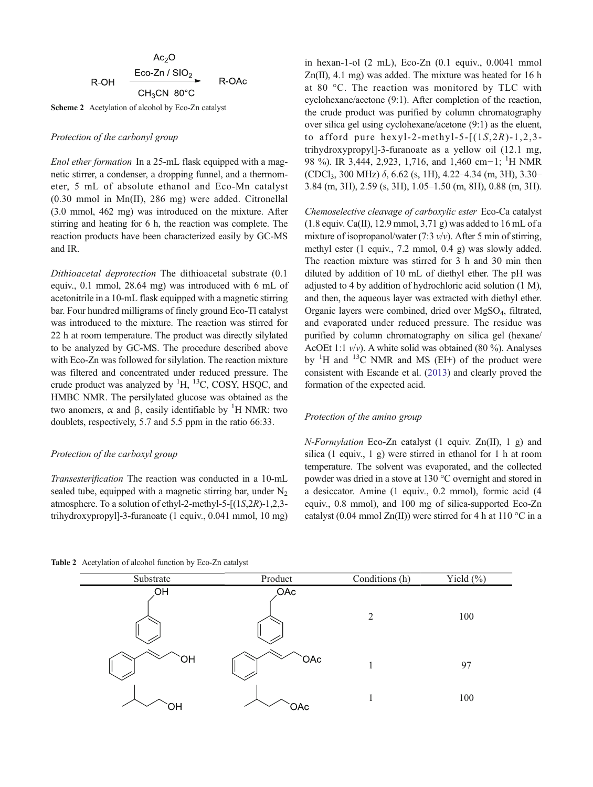$$
Ac_2O
$$
\n
$$
R-OH \xrightarrow{Eco-Zn / \, \text{SIO}_2} R-OAc
$$
\n
$$
CH_3CN \, 80^{\circ}C
$$

Scheme 2 Acetylation of alcohol by Eco-Zn catalyst

# Protection of the carbonyl group

Enol ether formation In a 25-mL flask equipped with a magnetic stirrer, a condenser, a dropping funnel, and a thermometer, 5 mL of absolute ethanol and Eco-Mn catalyst (0.30 mmol in Mn(II), 286 mg) were added. Citronellal (3.0 mmol, 462 mg) was introduced on the mixture. After stirring and heating for 6 h, the reaction was complete. The reaction products have been characterized easily by GC-MS and IR.

Dithioacetal deprotection The dithioacetal substrate (0.1 equiv., 0.1 mmol, 28.64 mg) was introduced with 6 mL of acetonitrile in a 10-mL flask equipped with a magnetic stirring bar. Four hundred milligrams of finely ground Eco-Tl catalyst was introduced to the mixture. The reaction was stirred for 22 h at room temperature. The product was directly silylated to be analyzed by GC-MS. The procedure described above with Eco-Zn was followed for silylation. The reaction mixture was filtered and concentrated under reduced pressure. The crude product was analyzed by  ${}^{1}H$ ,  ${}^{13}C$ , COSY, HSQC, and HMBC NMR. The persilylated glucose was obtained as the two anomers,  $\alpha$  and  $\beta$ , easily identifiable by <sup>1</sup>H NMR: two doublets, respectively, 5.7 and 5.5 ppm in the ratio 66:33.

## Protection of the carboxyl group

Transesterification The reaction was conducted in a 10-mL sealed tube, equipped with a magnetic stirring bar, under  $N_2$ atmosphere. To a solution of ethyl-2-methyl-5-[(1S,2R)-1,2,3 trihydroxypropyl]-3-furanoate (1 equiv., 0.041 mmol, 10 mg) in hexan-1-ol  $(2 \text{ mL})$ , Eco-Zn  $(0.1 \text{ equiv.}, 0.0041 \text{ mmol})$ Zn(II), 4.1 mg) was added. The mixture was heated for 16 h at 80 °C. The reaction was monitored by TLC with cyclohexane/acetone (9:1). After completion of the reaction, the crude product was purified by column chromatography over silica gel using cyclohexane/acetone (9:1) as the eluent, to afford pure hexyl-2-methyl-5- $[(1S, 2R) - 1, 2, 3-1]$ trihydroxypropyl]-3-furanoate as a yellow oil (12.1 mg, 98 %). IR 3,444, 2,923, 1,716, and 1,460 cm-1; <sup>1</sup>H NMR (CDCl<sub>3</sub>, 300 MHz)  $\delta$ , 6.62 (s, 1H), 4.22–4.34 (m, 3H), 3.30– 3.84 (m, 3H), 2.59 (s, 3H), 1.05–1.50 (m, 8H), 0.88 (m, 3H).

Chemoselective cleavage of carboxylic ester Eco-Ca catalyst  $(1.8 \text{ equiv. Ca(II)}, 12.9 \text{ mmol}, 3.71 \text{ g})$  was added to 16 mL of a mixture of isopropanol/water (7:3  $v/v$ ). After 5 min of stirring, methyl ester (1 equiv., 7.2 mmol, 0.4 g) was slowly added. The reaction mixture was stirred for 3 h and 30 min then diluted by addition of 10 mL of diethyl ether. The pH was adjusted to 4 by addition of hydrochloric acid solution (1 M), and then, the aqueous layer was extracted with diethyl ether. Organic layers were combined, dried over MgSO4, filtrated, and evaporated under reduced pressure. The residue was purified by column chromatography on silica gel (hexane/ AcOEt 1:1  $v/v$ ). A white solid was obtained (80 %). Analyses by  ${}^{1}$ H and  ${}^{13}$ C NMR and MS (EI+) of the product were consistent with Escande et al. (2013) and clearly proved the formation of the expected acid.

# Protection of the amino group

N-Formylation Eco-Zn catalyst (1 equiv. Zn(II), 1 g) and silica (1 equiv., 1 g) were stirred in ethanol for 1 h at room temperature. The solvent was evaporated, and the collected powder was dried in a stove at 130 °C overnight and stored in a desiccator. Amine (1 equiv., 0.2 mmol), formic acid (4 equiv., 0.8 mmol), and 100 mg of silica-supported Eco-Zn catalyst (0.04 mmol Zn(II)) were stirred for 4 h at 110 °C in a

Table 2 Acetylation of alcohol function by Eco-Zn catalyst

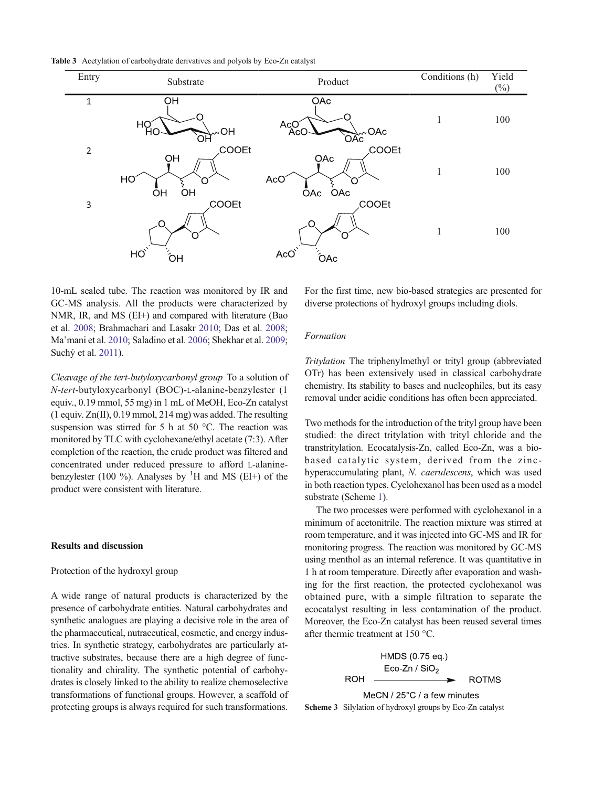Table 3 Acetylation of carbohydrate derivatives and polyols by Eco-Zn catalyst



10-mL sealed tube. The reaction was monitored by IR and GC-MS analysis. All the products were characterized by NMR, IR, and MS (EI+) and compared with literature (Bao et al. 2008; Brahmachari and Lasakr 2010; Das et al. 2008; Ma'mani et al. 2010; Saladino et al. 2006; Shekhar et al. 2009; Suchý et al. 2011).

Cleavage of the tert-butyloxycarbonyl group To a solution of N-tert-butyloxycarbonyl (BOC)-L-alanine-benzylester (1 equiv., 0.19 mmol, 55 mg) in 1 mL of MeOH, Eco-Zn catalyst  $(1$  equiv.  $Zn(II)$ , 0.19 mmol, 214 mg) was added. The resulting suspension was stirred for 5 h at 50 °C. The reaction was monitored by TLC with cyclohexane/ethyl acetate (7:3). After completion of the reaction, the crude product was filtered and concentrated under reduced pressure to afford L-alaninebenzylester (100 %). Analyses by  ${}^{1}H$  and MS (EI+) of the product were consistent with literature.

# Results and discussion

#### Protection of the hydroxyl group

A wide range of natural products is characterized by the presence of carbohydrate entities. Natural carbohydrates and synthetic analogues are playing a decisive role in the area of the pharmaceutical, nutraceutical, cosmetic, and energy industries. In synthetic strategy, carbohydrates are particularly attractive substrates, because there are a high degree of functionality and chirality. The synthetic potential of carbohydrates is closely linked to the ability to realize chemoselective transformations of functional groups. However, a scaffold of protecting groups is always required for such transformations.

For the first time, new bio-based strategies are presented for diverse protections of hydroxyl groups including diols.

#### Formation

Tritylation The triphenylmethyl or trityl group (abbreviated OTr) has been extensively used in classical carbohydrate chemistry. Its stability to bases and nucleophiles, but its easy removal under acidic conditions has often been appreciated.

Two methods for the introduction of the trityl group have been studied: the direct tritylation with trityl chloride and the transtritylation. Ecocatalysis-Zn, called Eco-Zn, was a biobased catalytic system, derived from the zinchyperaccumulating plant, N. caerulescens, which was used in both reaction types. Cyclohexanol has been used as a model substrate (Scheme 1).

The two processes were performed with cyclohexanol in a minimum of acetonitrile. The reaction mixture was stirred at room temperature, and it was injected into GC-MS and IR for monitoring progress. The reaction was monitored by GC-MS using menthol as an internal reference. It was quantitative in 1 h at room temperature. Directly after evaporation and washing for the first reaction, the protected cyclohexanol was obtained pure, with a simple filtration to separate the ecocatalyst resulting in less contamination of the product. Moreover, the Eco-Zn catalyst has been reused several times after thermic treatment at 150 °C.



MeCN / 25°C / a few minutes Scheme 3 Silylation of hydroxyl groups by Eco-Zn catalyst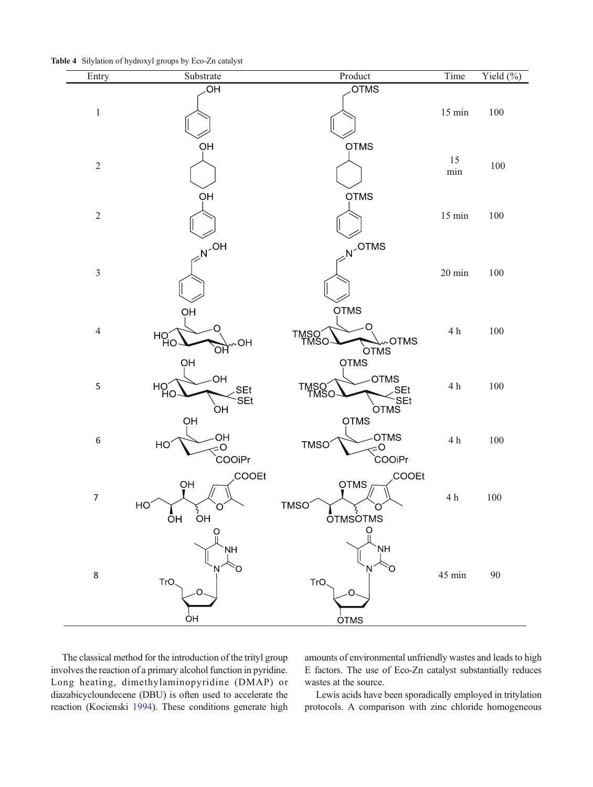Table 4 Silylation of hydroxyl groups by Eco-Zn catalyst

| Entry            | Substrate                                                 | Product                                                           | Time              | Yield (%) |
|------------------|-----------------------------------------------------------|-------------------------------------------------------------------|-------------------|-----------|
| $\,1\,$          | $\overline{\overline{\mathsf{C}}}$                        | <b>OTMS</b>                                                       | $15~\mathrm{min}$ | 100       |
| $\sqrt{2}$       | OH                                                        | <b>OTMS</b>                                                       | 15<br>min         | $100\,$   |
| $\sqrt{2}$       | OH                                                        | <b>OTMS</b>                                                       | $15 \text{ min}$  | $100\,$   |
| $\mathfrak{Z}$   | $\mathbb{R}^{N}$ <sup>-OH</sup>                           | $N^{\sim}$ OTMS                                                   | $20 \text{ min}$  | $100\,$   |
| $\overline{4}$   | ÒН<br>HO <sub>O</sub><br>$\sim$ OH                        | OTMS<br>TMSO<br>TMSC<br>$\sim$ OTMS<br><b>OTMS</b>                | $4\ \mathrm{h}$   | 100       |
| $\sf 5$          | OH<br>OH<br>$H_{HO}^{\gamma}$<br><b>SEt</b><br>`SEt<br>ЮH | OTMS<br><b>OTMS</b><br>TMSO<br>TMSO<br><b>SEt</b><br><b>SET</b>   | $4\ \mathrm{h}$   | 100       |
| $\,$ 6 $\,$      | OH<br>OH<br>HO <sup>®</sup><br>$\epsilon$ O<br>COOiPr     | <b>OTMS</b><br><b>OTMS</b><br><b>TMSO</b><br>$\epsilon$<br>COOiPr | $4\ \mathrm{h}$   | 100       |
| $\boldsymbol{7}$ | <b>COOEt</b><br>ŌH<br>HO <sub>.</sub><br>OH<br>OH         | COOEt<br>OTMS<br><b>TMSO</b><br><b>OTMSOTMS</b>                   | $4\ \mathrm{h}$   | $100\,$   |
| $\,$ 8 $\,$      | Ő<br><b>NH</b><br>TrO.<br>O<br>ÒН                         | $\frac{0}{1}$<br>ŅΗ<br>TrO.<br>O<br><b>OTMS</b>                   | $45~\mathrm{min}$ | 90        |

The classical method for the introduction of the trityl group involves the reaction of a primary alcohol function in pyridine. Long heating, dimethylaminopyridine (DMAP) or diazabicycloundecene (DBU) is often used to accelerate the reaction (Kocienski 1994). These conditions generate high amounts of environmental unfriendly wastes and leads to high E factors. The use of Eco-Zn catalyst substantially reduces wastes at the source.

Lewis acids have been sporadically employed in tritylation protocols. A comparison with zinc chloride homogeneous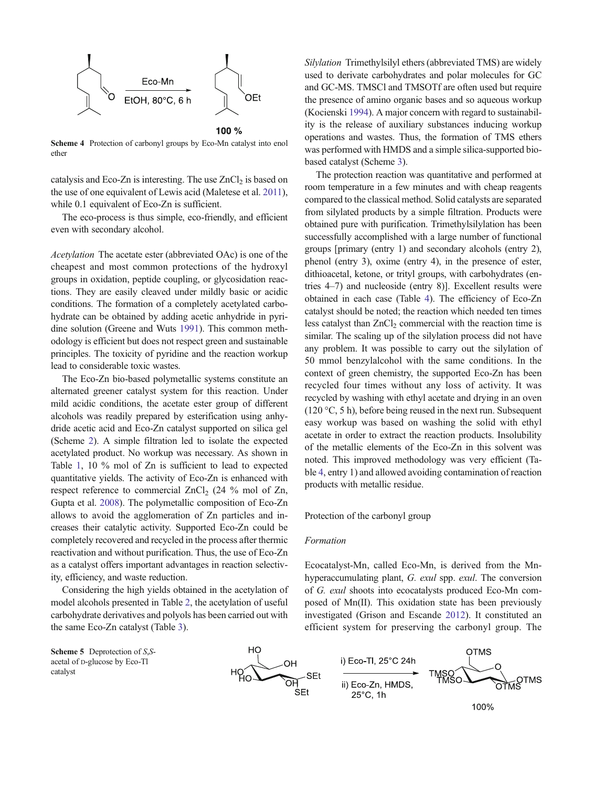

Scheme 4 Protection of carbonyl groups by Eco-Mn catalyst into enol ether

catalysis and Eco-Zn is interesting. The use  $ZnCl<sub>2</sub>$  is based on the use of one equivalent of Lewis acid (Maletese et al. 2011), while 0.1 equivalent of Eco-Zn is sufficient.

The eco-process is thus simple, eco-friendly, and efficient even with secondary alcohol.

Acetylation The acetate ester (abbreviated OAc) is one of the cheapest and most common protections of the hydroxyl groups in oxidation, peptide coupling, or glycosidation reactions. They are easily cleaved under mildly basic or acidic conditions. The formation of a completely acetylated carbohydrate can be obtained by adding acetic anhydride in pyridine solution (Greene and Wuts 1991). This common methodology is efficient but does not respect green and sustainable principles. The toxicity of pyridine and the reaction workup lead to considerable toxic wastes.

The Eco-Zn bio-based polymetallic systems constitute an alternated greener catalyst system for this reaction. Under mild acidic conditions, the acetate ester group of different alcohols was readily prepared by esterification using anhydride acetic acid and Eco-Zn catalyst supported on silica gel (Scheme 2). A simple filtration led to isolate the expected acetylated product. No workup was necessary. As shown in Table 1, 10 % mol of Zn is sufficient to lead to expected quantitative yields. The activity of Eco-Zn is enhanced with respect reference to commercial  $ZnCl<sub>2</sub>$  (24 % mol of Zn, Gupta et al. 2008). The polymetallic composition of Eco-Zn allows to avoid the agglomeration of Zn particles and increases their catalytic activity. Supported Eco-Zn could be completely recovered and recycled in the process after thermic reactivation and without purification. Thus, the use of Eco-Zn as a catalyst offers important advantages in reaction selectivity, efficiency, and waste reduction.

Considering the high yields obtained in the acetylation of model alcohols presented in Table 2, the acetylation of useful carbohydrate derivatives and polyols has been carried out with the same Eco-Zn catalyst (Table 3).

Scheme 5 Deprotection of S<sub>S</sub>acetal of D-glucose by Eco-Tl catalyst



Silylation Trimethylsilyl ethers (abbreviated TMS) are widely used to derivate carbohydrates and polar molecules for GC and GC-MS. TMSCl and TMSOTf are often used but require the presence of amino organic bases and so aqueous workup (Kocienski 1994). A major concern with regard to sustainability is the release of auxiliary substances inducing workup operations and wastes. Thus, the formation of TMS ethers was performed with HMDS and a simple silica-supported biobased catalyst (Scheme 3).

The protection reaction was quantitative and performed at room temperature in a few minutes and with cheap reagents compared to the classical method. Solid catalysts are separated from silylated products by a simple filtration. Products were obtained pure with purification. Trimethylsilylation has been successfully accomplished with a large number of functional groups [primary (entry 1) and secondary alcohols (entry 2), phenol (entry 3), oxime (entry 4), in the presence of ester, dithioacetal, ketone, or trityl groups, with carbohydrates (entries 4–7) and nucleoside (entry 8)]. Excellent results were obtained in each case (Table 4). The efficiency of Eco-Zn catalyst should be noted; the reaction which needed ten times less catalyst than  $ZnCl<sub>2</sub>$  commercial with the reaction time is similar. The scaling up of the silylation process did not have any problem. It was possible to carry out the silylation of 50 mmol benzylalcohol with the same conditions. In the context of green chemistry, the supported Eco-Zn has been recycled four times without any loss of activity. It was recycled by washing with ethyl acetate and drying in an oven (120 °C, 5 h), before being reused in the next run. Subsequent easy workup was based on washing the solid with ethyl acetate in order to extract the reaction products. Insolubility of the metallic elements of the Eco-Zn in this solvent was noted. This improved methodology was very efficient (Table 4, entry 1) and allowed avoiding contamination of reaction products with metallic residue.

#### Protection of the carbonyl group

#### Formation

Ecocatalyst-Mn, called Eco-Mn, is derived from the Mnhyperaccumulating plant, G. exul spp. exul. The conversion of G. exul shoots into ecocatalysts produced Eco-Mn composed of Mn(II). This oxidation state has been previously investigated (Grison and Escande 2012). It constituted an efficient system for preserving the carbonyl group. The

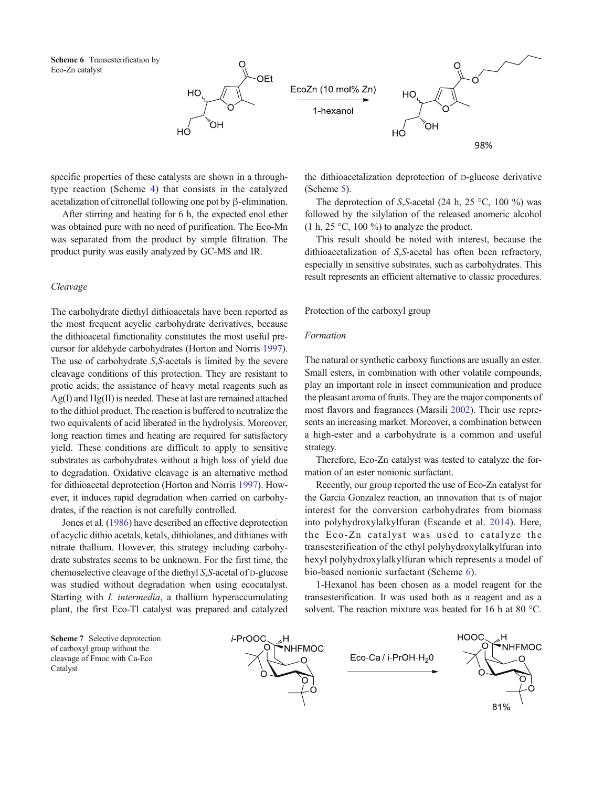



specific properties of these catalysts are shown in a throughtype reaction (Scheme 4) that consists in the catalyzed acetalization of citronellal following one pot by β-elimination.

After stirring and heating for 6 h, the expected enol ether was obtained pure with no need of purification. The Eco-Mn was separated from the product by simple filtration. The product purity was easily analyzed by GC-MS and IR.

# Cleavage

The carbohydrate diethyl dithioacetals have been reported as the most frequent acyclic carbohydrate derivatives, because the dithioacetal functionality constitutes the most useful precursor for aldehyde carbohydrates (Horton and Norris 1997). The use of carbohydrate S,S-acetals is limited by the severe cleavage conditions of this protection. They are resistant to protic acids; the assistance of heavy metal reagents such as Ag(I) and Hg(II) is needed. These at last are remained attached to the dithiol product. The reaction is buffered to neutralize the two equivalents of acid liberated in the hydrolysis. Moreover, long reaction times and heating are required for satisfactory yield. These conditions are difficult to apply to sensitive substrates as carbohydrates without a high loss of yield due to degradation. Oxidative cleavage is an alternative method for dithioacetal deprotection (Horton and Norris 1997). However, it induces rapid degradation when carried on carbohydrates, if the reaction is not carefully controlled.

Jones et al. (1986) have described an effective deprotection of acyclic dithio acetals, ketals, dithiolanes, and dithianes with nitrate thallium. However, this strategy including carbohydrate substrates seems to be unknown. For the first time, the chemoselective cleavage of the diethyl S,S-acetal of D-glucose was studied without degradation when using ecocatalyst. Starting with I. intermedia, a thallium hyperaccumulating plant, the first Eco-Tl catalyst was prepared and catalyzed

the dithioacetalization deprotection of D-glucose derivative (Scheme 5).

The deprotection of S,S-acetal (24 h, 25  $^{\circ}$ C, 100 %) was followed by the silylation of the released anomeric alcohol (1 h, 25  $\degree$ C, 100  $\degree$ ) to analyze the product.

This result should be noted with interest, because the dithioacetalization of S,S-acetal has often been refractory, especially in sensitive substrates, such as carbohydrates. This result represents an efficient alternative to classic procedures.

Protection of the carboxyl group

#### Formation

The natural or synthetic carboxy functions are usually an ester. Small esters, in combination with other volatile compounds, play an important role in insect communication and produce the pleasant aroma of fruits. They are the major components of most flavors and fragrances (Marsili 2002). Their use represents an increasing market. Moreover, a combination between a high-ester and a carbohydrate is a common and useful strategy.

Therefore, Eco-Zn catalyst was tested to catalyze the formation of an ester nonionic surfactant.

Recently, our group reported the use of Eco-Zn catalyst for the Garcia Gonzalez reaction, an innovation that is of major interest for the conversion carbohydrates from biomass into polyhydroxylalkylfuran (Escande et al. 2014). Here, the Eco-Zn catalyst was used to catalyze the transesterification of the ethyl polyhydroxylalkylfuran into hexyl polyhydroxylalkylfuran which represents a model of bio-based nonionic surfactant (Scheme 6).

1-Hexanol has been chosen as a model reagent for the transesterification. It was used both as a reagent and as a solvent. The reaction mixture was heated for 16 h at 80 °C.

Scheme 7 Selective deprotection of carboxyl group without the cleavage of Fmoc with Ca-Eco Catalyst

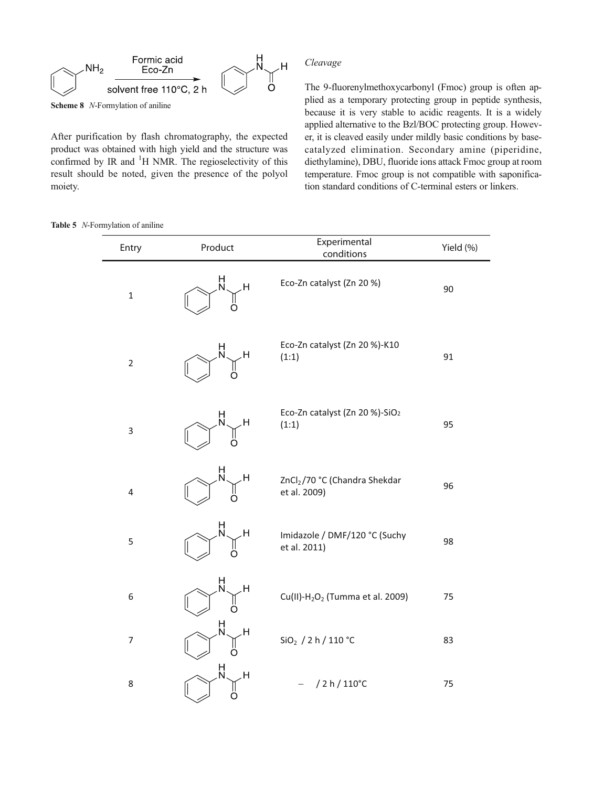

After purification by flash chromatography, the expected product was obtained with high yield and the structure was confirmed by IR and  ${}^{1}$ H NMR. The regioselectivity of this result should be noted, given the presence of the polyol moiety.

# Cleavage

The 9-fluorenylmethoxycarbonyl (Fmoc) group is often applied as a temporary protecting group in peptide synthesis, because it is very stable to acidic reagents. It is a widely applied alternative to the Bzl/BOC protecting group. However, it is cleaved easily under mildly basic conditions by basecatalyzed elimination. Secondary amine (piperidine, diethylamine), DBU, fluoride ions attack Fmoc group at room temperature. Fmoc group is not compatible with saponification standard conditions of C-terminal esters or linkers.

| Entry                     | Product                 | Experimental<br>conditions                                | Yield (%) |
|---------------------------|-------------------------|-----------------------------------------------------------|-----------|
| $\mathbf 1$               | H<br>N<br>H<br>∩        | Eco-Zn catalyst (Zn 20 %)                                 | 90        |
| $\mathbf 2$               | H<br>N<br>Η             | Eco-Zn catalyst (Zn 20 %)-K10<br>(1:1)                    | 91        |
| $\ensuremath{\mathsf{3}}$ | H<br>Η                  | Eco-Zn catalyst (Zn 20 %)-SiO <sub>2</sub><br>(1:1)       | 95        |
| $\overline{\mathbf{4}}$   | H<br>N<br>H             | ZnCl <sub>2</sub> /70 °C (Chandra Shekdar<br>et al. 2009) | 96        |
| 5                         | H<br>N<br>H<br>റ        | Imidazole / DMF/120 °C (Suchy<br>et al. 2011)             | 98        |
| 6                         | H<br>Η<br>O             | Cu(II)-H <sub>2</sub> O <sub>2</sub> (Tumma et al. 2009)  | 75        |
| $\boldsymbol{7}$          | H<br>N<br>H,<br>၂၊<br>O | SiO <sub>2</sub> / 2 h / 110 °C                           | 83        |
| 8                         | H<br>N<br>Η<br>ן ז      | /2h/110°C                                                 | 75        |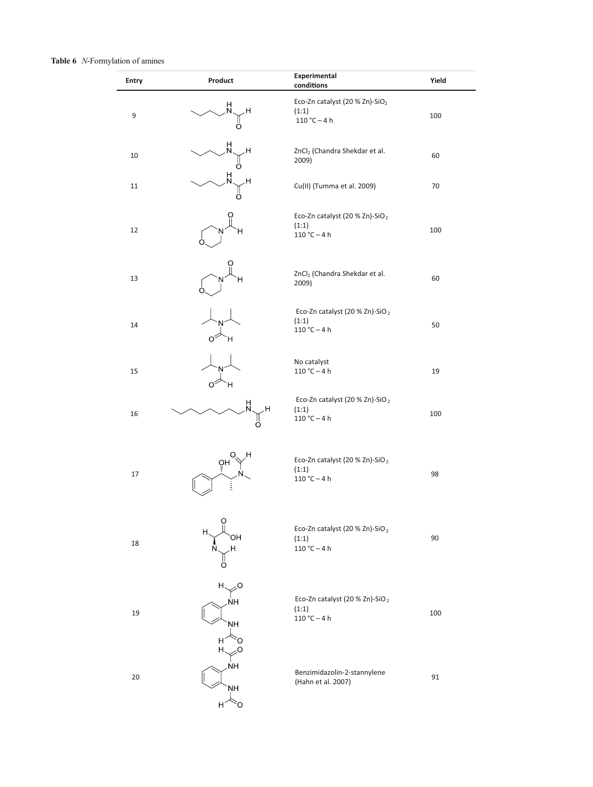# Table 6 *N*-Formylation of amines

| Entry  | Product                                                         | Experimental<br>conditions                                            | Yield |
|--------|-----------------------------------------------------------------|-----------------------------------------------------------------------|-------|
| 9      | Н<br>H<br>∩                                                     | Eco-Zn catalyst (20 % Zn)-SiO <sub>2</sub><br>(1:1)<br>$110 °C - 4 h$ | 100   |
| $10\,$ | H<br>Η<br>O                                                     | ZnCl <sub>2</sub> (Chandra Shekdar et al.<br>2009)                    | 60    |
| 11     | H<br>Η<br>O                                                     | Cu(II) (Tumma et al. 2009)                                            | 70    |
| 12     | Н                                                               | Eco-Zn catalyst (20 % Zn)-SiO <sub>2</sub><br>(1:1)<br>$110 °C - 4 h$ | 100   |
| 13     | н                                                               | ZnCl <sub>2</sub> (Chandra Shekdar et al.<br>2009)                    | 60    |
| 14     |                                                                 | Eco-Zn catalyst (20 % Zn)-SiO <sub>2</sub><br>(1:1)<br>$110 °C - 4 h$ | 50    |
| 15     |                                                                 | No catalyst<br>$110 °C - 4 h$                                         | 19    |
| 16     | н<br>Η<br>O                                                     | Eco-Zn catalyst (20 % Zn)-SiO <sub>2</sub><br>(1:1)<br>$110 °C - 4 h$ | 100   |
| 17     | ŌΗ<br>Ė                                                         | Eco-Zn catalyst (20 % Zn)-SiO <sub>2</sub><br>(1:1)<br>$110 °C - 4 h$ | 98    |
| 18     | O<br>OН<br>Н<br>N                                               | Eco-Zn catalyst (20 % Zn)-SiO <sub>2</sub><br>(1:1)<br>$110 °C - 4 h$ | 90    |
| 19     | $\curlyeqprec^{\mathsf{O}}$<br>Н,<br>NΗ<br><b>NH</b><br>Н<br>Н, | Eco-Zn catalyst (20 % Zn)-SiO <sub>2</sub><br>(1:1)<br>$110 °C - 4 h$ | 100   |
| 20     | NΗ<br><b>ΝH</b><br>O                                            | Benzimidazolin-2-stannylene<br>(Hahn et al. 2007)                     | 91    |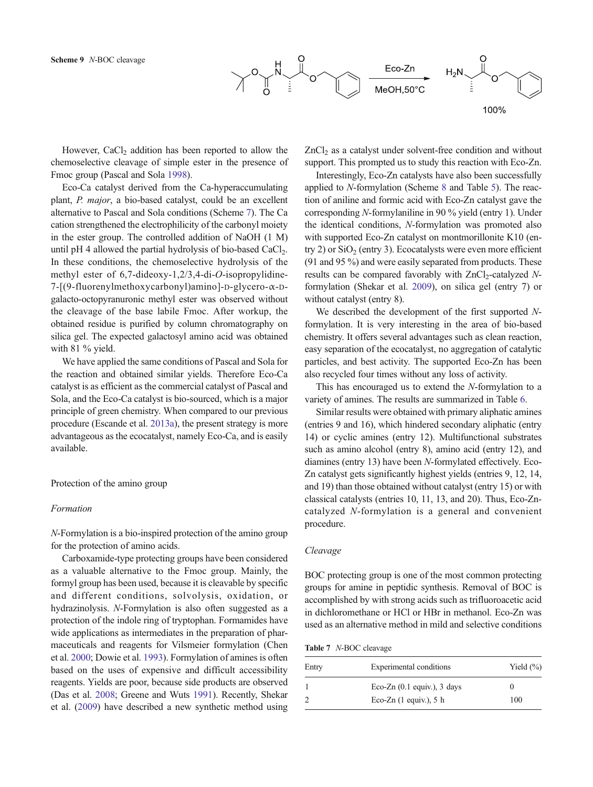

However, CaCl<sub>2</sub> addition has been reported to allow the chemoselective cleavage of simple ester in the presence of Fmoc group (Pascal and Sola 1998).

Eco-Ca catalyst derived from the Ca-hyperaccumulating plant, P. major, a bio-based catalyst, could be an excellent alternative to Pascal and Sola conditions (Scheme 7). The Ca cation strengthened the electrophilicity of the carbonyl moiety in the ester group. The controlled addition of NaOH (1 M) until pH 4 allowed the partial hydrolysis of bio-based  $CaCl<sub>2</sub>$ . In these conditions, the chemoselective hydrolysis of the methyl ester of 6,7-dideoxy-1,2/3,4-di-O-isopropylidine-7-[(9-fluorenylmethoxycarbonyl)amino]-D-glycero-α-Dgalacto-octopyranuronic methyl ester was observed without the cleavage of the base labile Fmoc. After workup, the obtained residue is purified by column chromatography on silica gel. The expected galactosyl amino acid was obtained with 81 % yield.

We have applied the same conditions of Pascal and Sola for the reaction and obtained similar yields. Therefore Eco-Ca catalyst is as efficient as the commercial catalyst of Pascal and Sola, and the Eco-Ca catalyst is bio-sourced, which is a major principle of green chemistry. When compared to our previous procedure (Escande et al. 2013a), the present strategy is more advantageous as the ecocatalyst, namely Eco-Ca, and is easily available.

# Protection of the amino group

# Formation

N-Formylation is a bio-inspired protection of the amino group for the protection of amino acids.

Carboxamide-type protecting groups have been considered as a valuable alternative to the Fmoc group. Mainly, the formyl group has been used, because it is cleavable by specific and different conditions, solvolysis, oxidation, or hydrazinolysis. N-Formylation is also often suggested as a protection of the indole ring of tryptophan. Formamides have wide applications as intermediates in the preparation of pharmaceuticals and reagents for Vilsmeier formylation (Chen et al. 2000; Dowie et al. 1993). Formylation of amines is often based on the uses of expensive and difficult accessibility reagents. Yields are poor, because side products are observed (Das et al. 2008; Greene and Wuts 1991). Recently, Shekar et al. (2009) have described a new synthetic method using ZnCl<sub>2</sub> as a catalyst under solvent-free condition and without support. This prompted us to study this reaction with Eco-Zn.

Interestingly, Eco-Zn catalysts have also been successfully applied to N-formylation (Scheme 8 and Table 5). The reaction of aniline and formic acid with Eco-Zn catalyst gave the corresponding N-formylaniline in 90 % yield (entry 1). Under the identical conditions, N-formylation was promoted also with supported Eco-Zn catalyst on montmorillonite K10 (entry 2) or  $SiO<sub>2</sub>$  (entry 3). Ecocatalysts were even more efficient (91 and 95 %) and were easily separated from products. These results can be compared favorably with ZnCl<sub>2</sub>-catalyzed Nformylation (Shekar et al. 2009), on silica gel (entry 7) or without catalyst (entry 8).

We described the development of the first supported Nformylation. It is very interesting in the area of bio-based chemistry. It offers several advantages such as clean reaction, easy separation of the ecocatalyst, no aggregation of catalytic particles, and best activity. The supported Eco-Zn has been also recycled four times without any loss of activity.

This has encouraged us to extend the N-formylation to a variety of amines. The results are summarized in Table 6.

Similar results were obtained with primary aliphatic amines (entries 9 and 16), which hindered secondary aliphatic (entry 14) or cyclic amines (entry 12). Multifunctional substrates such as amino alcohol (entry 8), amino acid (entry 12), and diamines (entry 13) have been N-formylated effectively. Eco-Zn catalyst gets significantly highest yields (entries 9, 12, 14, and 19) than those obtained without catalyst (entry 15) or with classical catalysts (entries 10, 11, 13, and 20). Thus, Eco-Zncatalyzed N-formylation is a general and convenient procedure.

#### Cleavage

BOC protecting group is one of the most common protecting groups for amine in peptidic synthesis. Removal of BOC is accomplished by with strong acids such as trifluoroacetic acid in dichloromethane or HCl or HBr in methanol. Eco-Zn was used as an alternative method in mild and selective conditions

Table 7 N-BOC cleavage

| Entry | Experimental conditions                                   | Yield $(\% )$ |
|-------|-----------------------------------------------------------|---------------|
|       | Eco-Zn $(0.1$ equiv.), 3 days<br>Eco-Zn $(1$ equiv.), 5 h | 100           |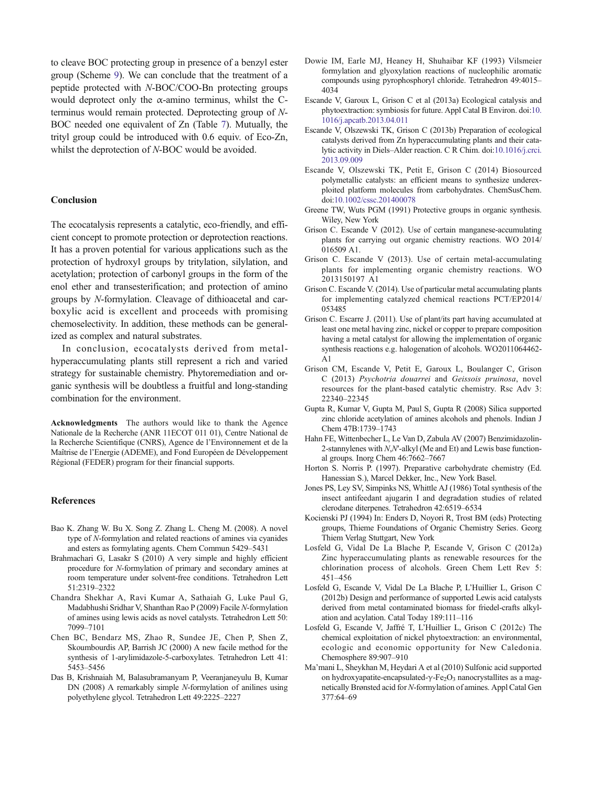to cleave BOC protecting group in presence of a benzyl ester group (Scheme 9). We can conclude that the treatment of a peptide protected with N-BOC/COO-Bn protecting groups would deprotect only the  $\alpha$ -amino terminus, whilst the Cterminus would remain protected. Deprotecting group of N-BOC needed one equivalent of Zn (Table 7). Mutually, the trityl group could be introduced with 0.6 equiv. of Eco-Zn, whilst the deprotection of N-BOC would be avoided.

# Conclusion

The ecocatalysis represents a catalytic, eco-friendly, and efficient concept to promote protection or deprotection reactions. It has a proven potential for various applications such as the protection of hydroxyl groups by tritylation, silylation, and acetylation; protection of carbonyl groups in the form of the enol ether and transesterification; and protection of amino groups by N-formylation. Cleavage of dithioacetal and carboxylic acid is excellent and proceeds with promising chemoselectivity. In addition, these methods can be generalized as complex and natural substrates.

In conclusion, ecocatalysts derived from metalhyperaccumulating plants still represent a rich and varied strategy for sustainable chemistry. Phytoremediation and organic synthesis will be doubtless a fruitful and long-standing combination for the environment.

Acknowledgments The authors would like to thank the Agence Nationale de la Recherche (ANR 11ECOT 011 01), Centre National de la Recherche Scientifique (CNRS), Agence de l'Environnement et de la Maîtrise de l'Energie (ADEME), and Fond Européen de Développement Régional (FEDER) program for their financial supports.

#### References

- Bao K. Zhang W. Bu X. Song Z. Zhang L. Cheng M. (2008). A novel type of N-formylation and related reactions of amines via cyanides and esters as formylating agents. Chem Commun 5429–5431
- Brahmachari G, Lasakr S (2010) A very simple and highly efficient procedure for N-formylation of primary and secondary amines at room temperature under solvent-free conditions. Tetrahedron Lett 51:2319–2322
- Chandra Shekhar A, Ravi Kumar A, Sathaiah G, Luke Paul G, Madabhushi Sridhar V, Shanthan Rao P (2009) Facile N-formylation of amines using lewis acids as novel catalysts. Tetrahedron Lett 50: 7099–7101
- Chen BC, Bendarz MS, Zhao R, Sundee JE, Chen P, Shen Z, Skoumbourdis AP, Barrish JC (2000) A new facile method for the synthesis of 1-arylimidazole-5-carboxylates. Tetrahedron Lett 41: 5453–5456
- Das B, Krishnaiah M, Balasubramanyam P, Veeranjaneyulu B, Kumar DN (2008) A remarkably simple N-formylation of anilines using polyethylene glycol. Tetrahedron Lett 49:2225–2227
- Dowie IM, Earle MJ, Heaney H, Shuhaibar KF (1993) Vilsmeier formylation and glyoxylation reactions of nucleophilic aromatic compounds using pyrophosphoryl chloride. Tetrahedron 49:4015– 4034
- Escande V, Garoux L, Grison C et al (2013a) Ecological catalysis and phytoextraction: symbiosis for future. Appl Catal B Environ. doi[:10.](http://dx.doi.org/10.1016/j.apcatb.2013.04.011) [1016/j.apcatb.2013.04.011](http://dx.doi.org/10.1016/j.apcatb.2013.04.011)
- Escande V, Olszewski TK, Grison C (2013b) Preparation of ecological catalysts derived from Zn hyperaccumulating plants and their catalytic activity in Diels–Alder reaction. C R Chim. doi:[10.1016/j.crci.](http://dx.doi.org/10.1016/j.crci.2013.09.009) [2013.09.009](http://dx.doi.org/10.1016/j.crci.2013.09.009)
- Escande V, Olszewski TK, Petit E, Grison C (2014) Biosourced polymetallic catalysts: an efficient means to synthesize underexploited platform molecules from carbohydrates. ChemSusChem. doi:[10.1002/cssc.201400078](http://dx.doi.org/10.1002/cssc.201400078)
- Greene TW, Wuts PGM (1991) Protective groups in organic synthesis. Wiley, New York
- Grison C. Escande V (2012). Use of certain manganese-accumulating plants for carrying out organic chemistry reactions. WO 2014/ 016509 A1.
- Grison C. Escande V (2013). Use of certain metal-accumulating plants for implementing organic chemistry reactions. WO 2013150197 A1
- Grison C. Escande V. (2014). Use of particular metal accumulating plants for implementing catalyzed chemical reactions PCT/EP2014/ 053485
- Grison C. Escarre J. (2011). Use of plant/its part having accumulated at least one metal having zinc, nickel or copper to prepare composition having a metal catalyst for allowing the implementation of organic synthesis reactions e.g. halogenation of alcohols. WO2011064462- A1
- Grison CM, Escande V, Petit E, Garoux L, Boulanger C, Grison C (2013) Psychotria douarrei and Geissois pruinosa, novel resources for the plant-based catalytic chemistry. Rsc Adv 3: 22340–22345
- Gupta R, Kumar V, Gupta M, Paul S, Gupta R (2008) Silica supported zinc chloride acetylation of amines alcohols and phenols. Indian J Chem 47B:1739–1743
- Hahn FE, Wittenbecher L, Le Van D, Zabula AV (2007) Benzimidazolin-2-stannylenes with N,N'-alkyl (Me and Et) and Lewis base functional groups. Inorg Chem 46:7662–7667
- Horton S. Norris P. (1997). Preparative carbohydrate chemistry (Ed. Hanessian S.), Marcel Dekker, Inc., New York Basel.
- Jones PS, Ley SV, Simpinks NS, Whittle AJ (1986) Total synthesis of the insect antifeedant ajugarin I and degradation studies of related clerodane diterpenes. Tetrahedron 42:6519–6534
- Kocienski PJ (1994) In: Enders D, Noyori R, Trost BM (eds) Protecting groups, Thieme Foundations of Organic Chemistry Series. Georg Thiem Verlag Stuttgart, New York
- Losfeld G, Vidal De La Blache P, Escande V, Grison C (2012a) Zinc hyperaccumulating plants as renewable resources for the chlorination process of alcohols. Green Chem Lett Rev 5: 451–456
- Losfeld G, Escande V, Vidal De La Blache P, L'Huillier L, Grison C (2012b) Design and performance of supported Lewis acid catalysts derived from metal contaminated biomass for friedel-crafts alkylation and acylation. Catal Today 189:111–116
- Losfeld G, Escande V, Jaffré T, L'Huillier L, Grison C (2012c) The chemical exploitation of nickel phytoextraction: an environmental, ecologic and economic opportunity for New Caledonia. Chemosphere 89:907–910
- Ma'mani L, Sheykhan M, Heydari A et al (2010) Sulfonic acid supported on hydroxyapatite-encapsulated-γ-Fe<sub>2</sub>O<sub>3</sub> nanocrystallites as a magnetically Brønsted acid for N-formylation of amines. Appl Catal Gen 377:64–69